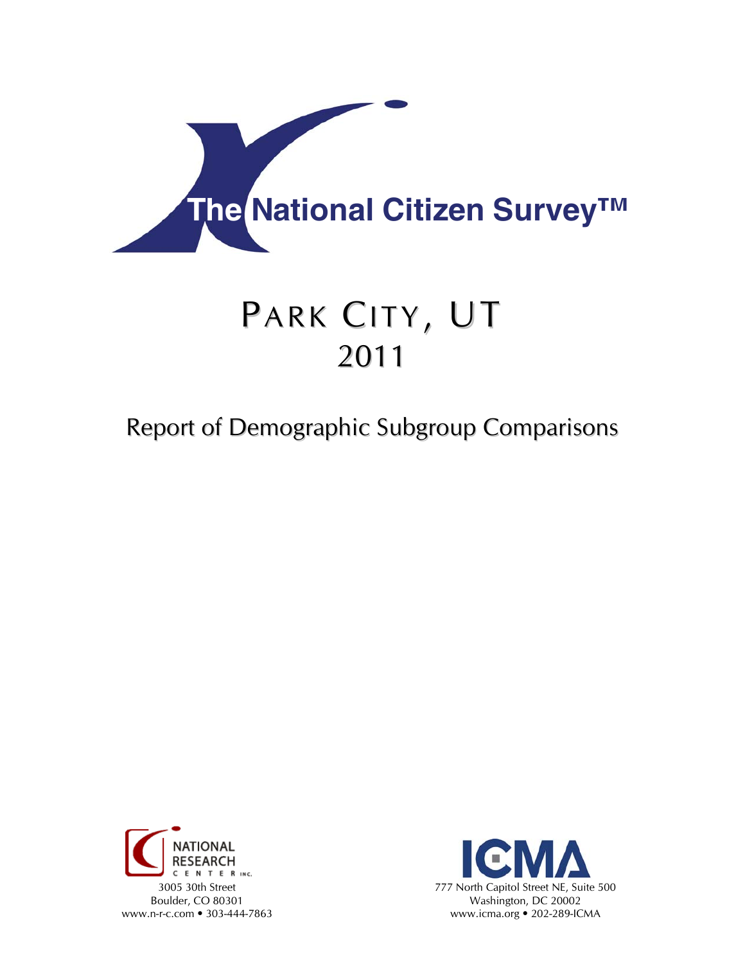

# PARK CITY, UT 2011

# Report of Demographic Subgroup Comparisons



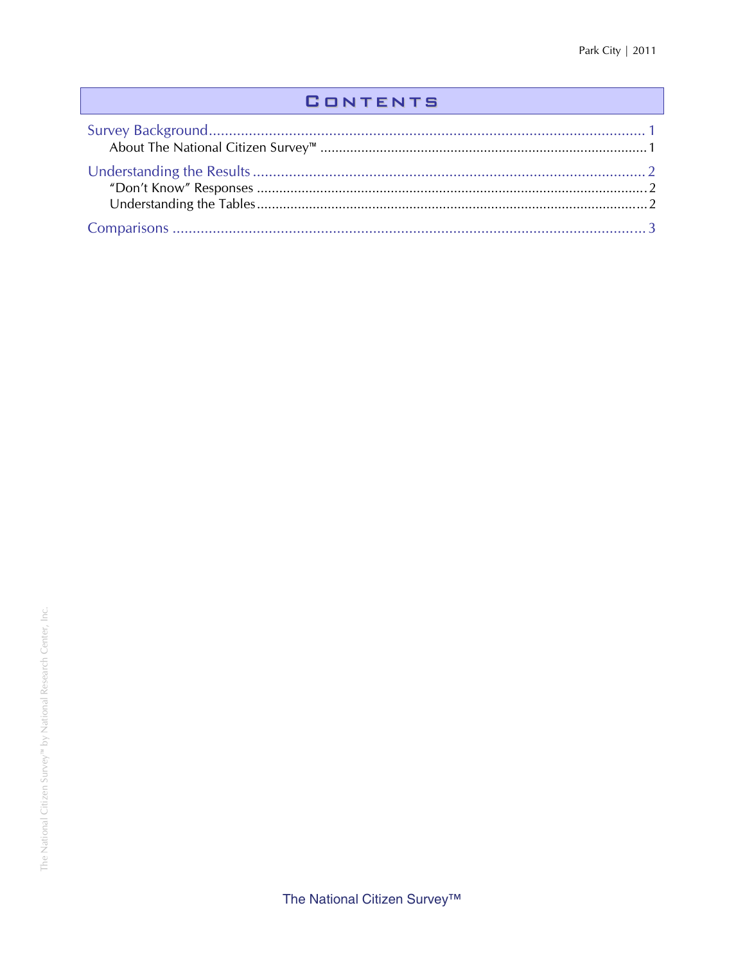## **CONTENTS**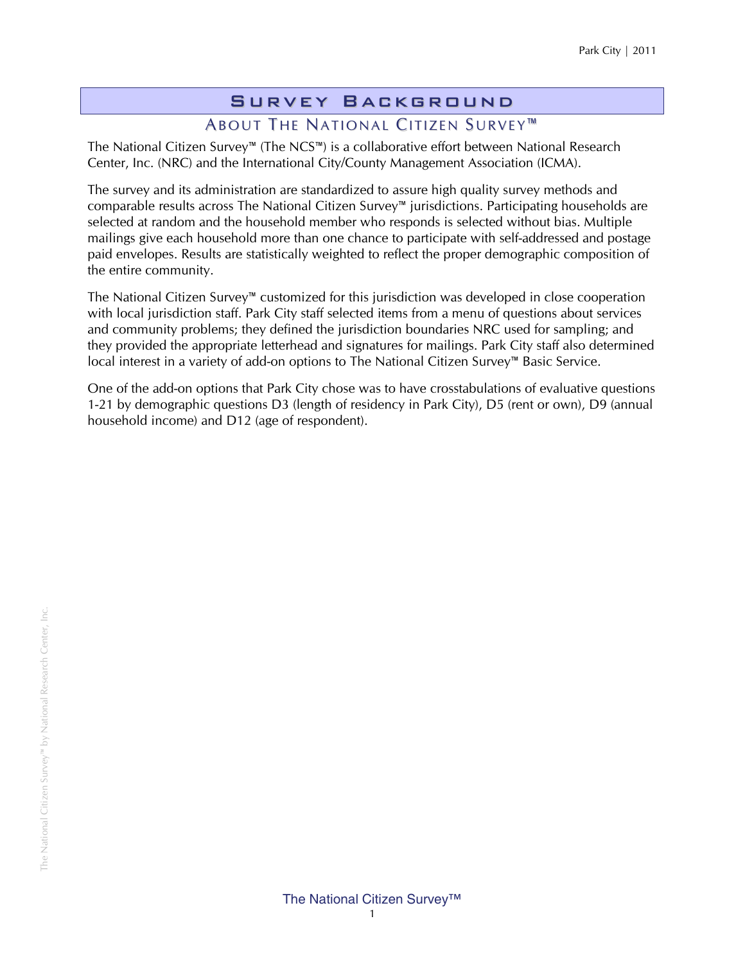# Survey Background

#### ABOUT THE NATIONAL CITIZEN SURVEY<sup>™</sup>

The National Citizen Survey™ (The NCS™) is a collaborative effort between National Research Center, Inc. (NRC) and the International City/County Management Association (ICMA).

The survey and its administration are standardized to assure high quality survey methods and comparable results across The National Citizen Survey™ jurisdictions. Participating households are selected at random and the household member who responds is selected without bias. Multiple mailings give each household more than one chance to participate with self-addressed and postage paid envelopes. Results are statistically weighted to reflect the proper demographic composition of the entire community.

The National Citizen Survey™ customized for this jurisdiction was developed in close cooperation with local jurisdiction staff. Park City staff selected items from a menu of questions about services and community problems; they defined the jurisdiction boundaries NRC used for sampling; and they provided the appropriate letterhead and signatures for mailings. Park City staff also determined local interest in a variety of add-on options to The National Citizen Survey™ Basic Service.

One of the add-on options that Park City chose was to have crosstabulations of evaluative questions 1-21 by demographic questions D3 (length of residency in Park City), D5 (rent or own), D9 (annual household income) and D12 (age of respondent).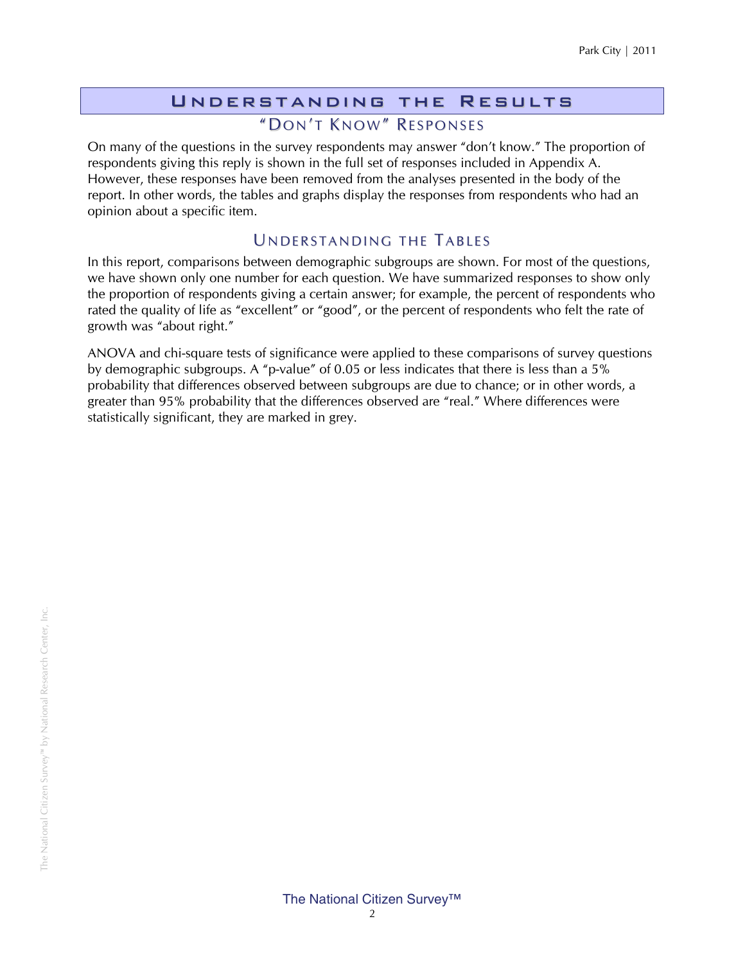#### Understanding the Results "DON'T KNOW" RESPONSES

On many of the questions in the survey respondents may answer "don't know." The proportion of respondents giving this reply is shown in the full set of responses included in Appendix A. However, these responses have been removed from the analyses presented in the body of the report. In other words, the tables and graphs display the responses from respondents who had an opinion about a specific item.

#### UNDERSTANDING THE TABLES

In this report, comparisons between demographic subgroups are shown. For most of the questions, we have shown only one number for each question. We have summarized responses to show only the proportion of respondents giving a certain answer; for example, the percent of respondents who rated the quality of life as "excellent" or "good", or the percent of respondents who felt the rate of growth was "about right."

ANOVA and chi-square tests of significance were applied to these comparisons of survey questions by demographic subgroups. A "p-value" of 0.05 or less indicates that there is less than a 5% probability that differences observed between subgroups are due to chance; or in other words, a greater than 95% probability that the differences observed are "real." Where differences were statistically significant, they are marked in grey.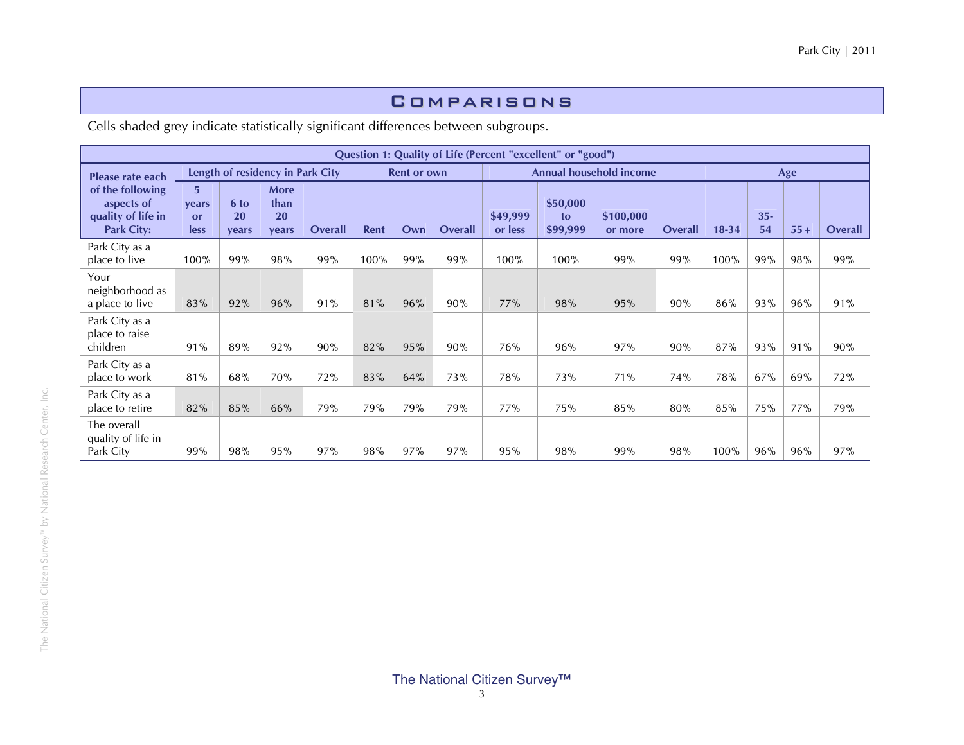#### Comparisons

Cells shaded grey indicate statistically significant differences between subgroups.

|                                                                           |                          |                     |                                    |         |      |                    |         |                     | Question 1: Quality of Life (Percent "excellent" or "good") |                                |         |           |              |       |                |
|---------------------------------------------------------------------------|--------------------------|---------------------|------------------------------------|---------|------|--------------------|---------|---------------------|-------------------------------------------------------------|--------------------------------|---------|-----------|--------------|-------|----------------|
| Please rate each                                                          |                          |                     | Length of residency in Park City   |         |      | <b>Rent or own</b> |         |                     |                                                             | <b>Annual household income</b> |         |           |              | Age   |                |
| of the following<br>aspects of<br>quality of life in<br><b>Park City:</b> | 5<br>vears<br>or<br>less | 6 to<br>20<br>vears | <b>More</b><br>than<br>20<br>vears | Overall | Rent | Own                | Overall | \$49,999<br>or less | \$50,000<br>to<br>\$99,999                                  | \$100,000<br>or more           | Overall | $18 - 34$ | $35 -$<br>54 | $55+$ | <b>Overall</b> |
| Park City as a<br>place to live                                           | 100%                     | 99%                 | 98%                                | 99%     | 100% | 99%                | 99%     | 100%                | 100%                                                        | 99%                            | 99%     | 100%      | 99%          | 98%   | 99%            |
| Your<br>neighborhood as<br>a place to live                                | 83%                      | 92%                 | 96%                                | 91%     | 81%  | 96%                | 90%     | 77%                 | 98%                                                         | 95%                            | 90%     | 86%       | 93%          | 96%   | 91%            |
| Park City as a<br>place to raise<br>children                              | 91%                      | 89%                 | 92%                                | 90%     | 82%  | 95%                | 90%     | 76%                 | 96%                                                         | 97%                            | 90%     | 87%       | 93%          | 91%   | 90%            |
| Park City as a<br>place to work                                           | 81%                      | 68%                 | 70%                                | 72%     | 83%  | 64%                | 73%     | 78%                 | 73%                                                         | 71%                            | 74%     | 78%       | 67%          | 69%   | 72%            |
| Park City as a<br>place to retire                                         | 82%                      | 85%                 | 66%                                | 79%     | 79%  | 79%                | 79%     | 77%                 | 75%                                                         | 85%                            | 80%     | 85%       | 75%          | 77%   | 79%            |
| The overall<br>quality of life in<br>Park City                            | 99%                      | 98%                 | 95%                                | 97%     | 98%  | 97%                | 97%     | 95%                 | 98%                                                         | 99%                            | 98%     | 100%      | 96%          | 96%   | 97%            |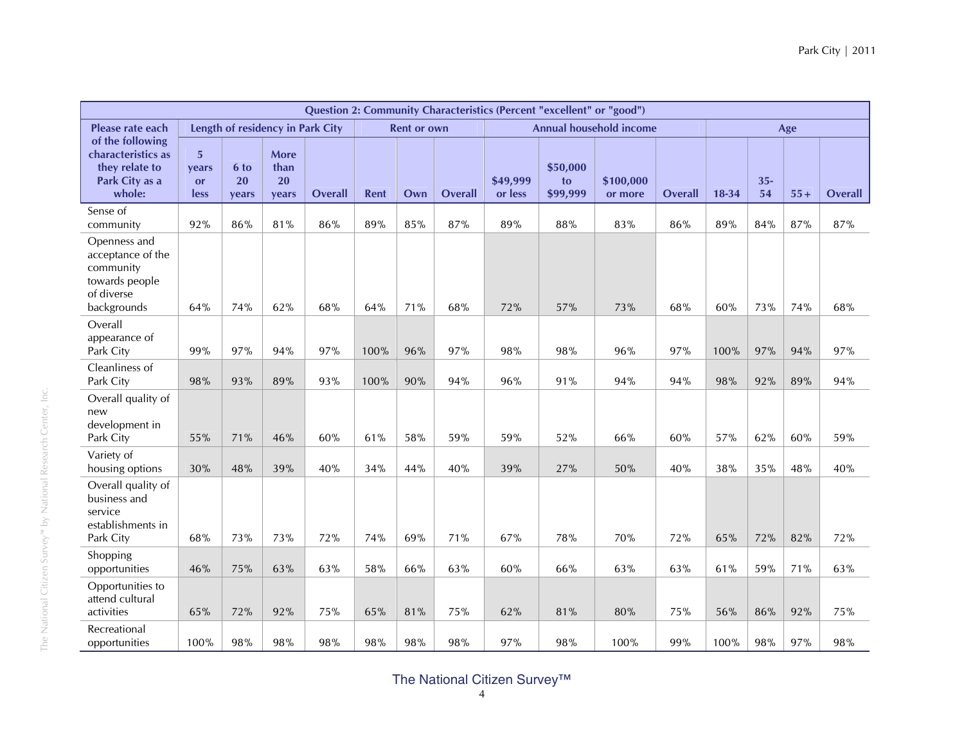|                                                                                               |                                              |                     |                                           |                |             |                    |                |                     | Question 2: Community Characteristics (Percent "excellent" or "good") |                                |         |       |             |       |                |
|-----------------------------------------------------------------------------------------------|----------------------------------------------|---------------------|-------------------------------------------|----------------|-------------|--------------------|----------------|---------------------|-----------------------------------------------------------------------|--------------------------------|---------|-------|-------------|-------|----------------|
| Please rate each                                                                              |                                              |                     | Length of residency in Park City          |                |             | <b>Rent or own</b> |                |                     |                                                                       | <b>Annual household income</b> |         |       |             | Age   |                |
| of the following<br>characteristics as<br>they relate to<br>Park City as a<br>whole:          | 5 <sup>5</sup><br>vears<br><b>or</b><br>less | 6 to<br>20<br>vears | <b>More</b><br>than<br><b>20</b><br>vears | <b>Overall</b> | <b>Rent</b> | Own                | <b>Overall</b> | \$49,999<br>or less | \$50,000<br>to<br>\$99,999                                            | \$100,000<br>or more           | Overall | 18-34 | $35-$<br>54 | $55+$ | <b>Overall</b> |
| Sense of<br>community                                                                         | 92%                                          | 86%                 | 81%                                       | 86%            | 89%         | 85%                | 87%            | 89%                 | 88%                                                                   | 83%                            | 86%     | 89%   | 84%         | 87%   | 87%            |
| Openness and<br>acceptance of the<br>community<br>towards people<br>of diverse<br>backgrounds | 64%                                          | 74%                 | 62%                                       | 68%            | 64%         | 71%                | 68%            | 72%                 | 57%                                                                   | 73%                            | 68%     | 60%   | 73%         | 74%   | 68%            |
| Overall<br>appearance of<br>Park City                                                         | 99%                                          | 97%                 | 94%                                       | 97%            | 100%        | 96%                | 97%            | 98%                 | 98%                                                                   | 96%                            | 97%     | 100%  | 97%         | 94%   | 97%            |
| Cleanliness of<br>Park City                                                                   | 98%                                          | 93%                 | 89%                                       | 93%            | 100%        | 90%                | 94%            | 96%                 | 91%                                                                   | 94%                            | 94%     | 98%   | 92%         | 89%   | 94%            |
| Overall quality of<br>new<br>development in<br>Park City                                      | 55%                                          | 71%                 | 46%                                       | 60%            | 61%         | 58%                | 59%            | 59%                 | 52%                                                                   | 66%                            | 60%     | 57%   | 62%         | 60%   | 59%            |
| Variety of<br>housing options                                                                 | 30%                                          | 48%                 | 39%                                       | 40%            | 34%         | 44%                | 40%            | 39%                 | 27%                                                                   | 50%                            | 40%     | 38%   | 35%         | 48%   | 40%            |
| Overall quality of<br>business and<br>service<br>establishments in<br>Park City               | 68%                                          | 73%                 | 73%                                       | 72%            | 74%         | 69%                | 71%            | 67%                 | 78%                                                                   | 70%                            | 72%     | 65%   | 72%         | 82%   | 72%            |
| Shopping<br>opportunities                                                                     | 46%                                          | 75%                 | 63%                                       | 63%            | 58%         | 66%                | 63%            | 60%                 | 66%                                                                   | 63%                            | 63%     | 61%   | 59%         | 71%   | 63%            |
| Opportunities to<br>attend cultural<br>activities                                             | 65%                                          | 72%                 | 92%                                       | 75%            | 65%         | 81%                | 75%            | 62%                 | 81%                                                                   | 80%                            | 75%     | 56%   | 86%         | 92%   | 75%            |
| Recreational<br>opportunities                                                                 | 100%                                         | 98%                 | 98%                                       | 98%            | 98%         | 98%                | 98%            | 97%                 | 98%                                                                   | 100%                           | 99%     | 100%  | 98%         | 97%   | 98%            |

The National Citizen Survey™ by National Research Center, Inc.

## The National Citizen Survey™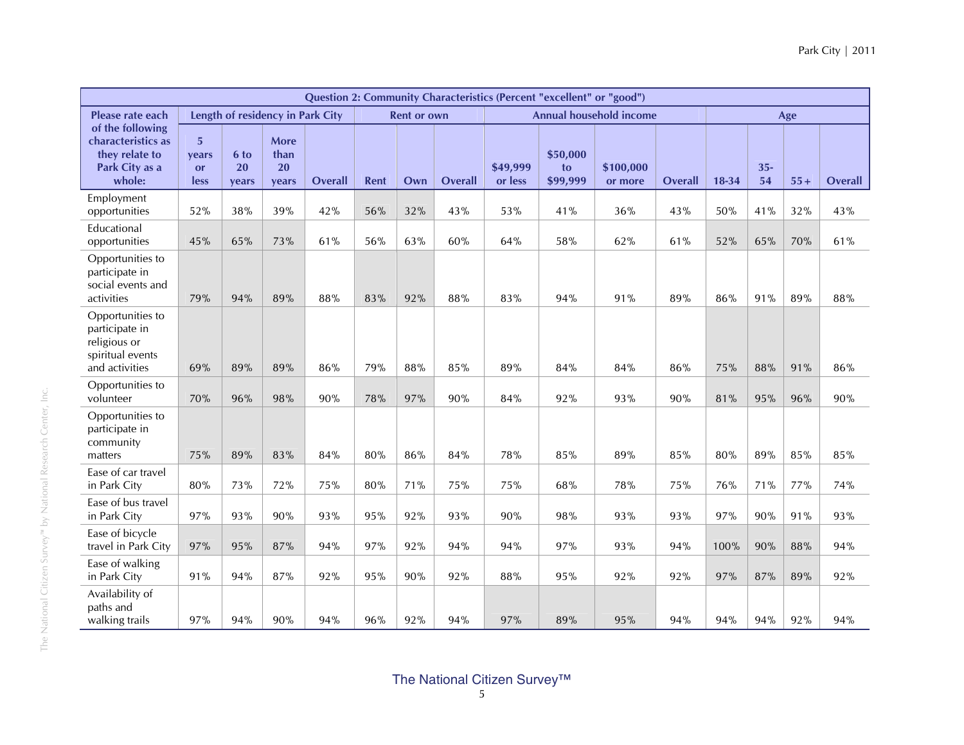|                                                                                          |                                              |                     |                                    |                |      |                    |                |                     | Question 2: Community Characteristics (Percent "excellent" or "good") |                                |                |       |              |       |                |
|------------------------------------------------------------------------------------------|----------------------------------------------|---------------------|------------------------------------|----------------|------|--------------------|----------------|---------------------|-----------------------------------------------------------------------|--------------------------------|----------------|-------|--------------|-------|----------------|
| Please rate each                                                                         |                                              |                     | Length of residency in Park City   |                |      | <b>Rent or own</b> |                |                     |                                                                       | <b>Annual household income</b> |                |       |              | Age   |                |
| of the following<br>characteristics as<br>they relate to<br>Park City as a<br>whole:     | 5 <sup>1</sup><br>vears<br><b>or</b><br>less | 6 to<br>20<br>years | <b>More</b><br>than<br>20<br>years | <b>Overall</b> | Rent | Own                | <b>Overall</b> | \$49,999<br>or less | \$50,000<br>to<br>\$99,999                                            | \$100,000<br>or more           | <b>Overall</b> | 18-34 | $35 -$<br>54 | $55+$ | <b>Overall</b> |
| Employment<br>opportunities                                                              | 52%                                          | 38%                 | 39%                                | 42%            | 56%  | 32%                | 43%            | 53%                 | 41%                                                                   | 36%                            | 43%            | 50%   | 41%          | 32%   | 43%            |
| Educational<br>opportunities                                                             | 45%                                          | 65%                 | 73%                                | 61%            | 56%  | 63%                | 60%            | 64%                 | 58%                                                                   | 62%                            | 61%            | 52%   | 65%          | 70%   | 61%            |
| Opportunities to<br>participate in<br>social events and<br>activities                    | 79%                                          | 94%                 | 89%                                | 88%            | 83%  | 92%                | 88%            | 83%                 | 94%                                                                   | 91%                            | 89%            | 86%   | 91%          | 89%   | 88%            |
| Opportunities to<br>participate in<br>religious or<br>spiritual events<br>and activities | 69%                                          | 89%                 | 89%                                | 86%            | 79%  | 88%                | 85%            | 89%                 | 84%                                                                   | 84%                            | 86%            | 75%   | 88%          | 91%   | 86%            |
| Opportunities to<br>volunteer                                                            | 70%                                          | 96%                 | 98%                                | 90%            | 78%  | 97%                | 90%            | 84%                 | 92%                                                                   | 93%                            | 90%            | 81%   | 95%          | 96%   | 90%            |
| Opportunities to<br>participate in<br>community<br>matters                               | 75%                                          | 89%                 | 83%                                | 84%            | 80%  | 86%                | 84%            | 78%                 | 85%                                                                   | 89%                            | 85%            | 80%   | 89%          | 85%   | 85%            |
| Ease of car travel<br>in Park City                                                       | 80%                                          | 73%                 | 72%                                | 75%            | 80%  | 71%                | 75%            | 75%                 | 68%                                                                   | 78%                            | 75%            | 76%   | 71%          | 77%   | 74%            |
| Ease of bus travel<br>in Park City                                                       | 97%                                          | 93%                 | 90%                                | 93%            | 95%  | 92%                | 93%            | 90%                 | 98%                                                                   | 93%                            | 93%            | 97%   | 90%          | 91%   | 93%            |
| Ease of bicycle<br>travel in Park City                                                   | 97%                                          | 95%                 | 87%                                | 94%            | 97%  | 92%                | 94%            | 94%                 | 97%                                                                   | 93%                            | 94%            | 100%  | 90%          | 88%   | 94%            |
| Ease of walking<br>in Park City                                                          | 91%                                          | 94%                 | 87%                                | 92%            | 95%  | 90%                | 92%            | 88%                 | 95%                                                                   | 92%                            | 92%            | 97%   | 87%          | 89%   | 92%            |
| Availability of<br>paths and<br>walking trails                                           | 97%                                          | 94%                 | 90%                                | 94%            | 96%  | 92%                | 94%            | 97%                 | 89%                                                                   | 95%                            | 94%            | 94%   | 94%          | 92%   | 94%            |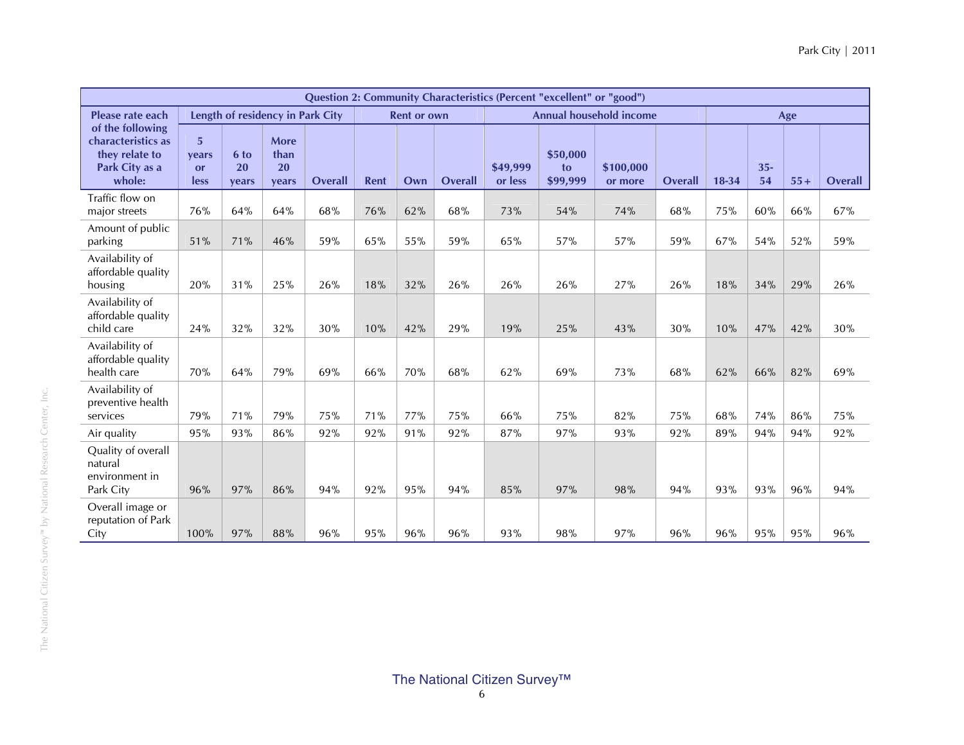|                                                                                      |                                               |                     |                                  |                |      |                    |                |                     | <b>Question 2: Community Characteristics (Percent "excellent" or "good")</b> |                                |                |       |              |       |         |
|--------------------------------------------------------------------------------------|-----------------------------------------------|---------------------|----------------------------------|----------------|------|--------------------|----------------|---------------------|------------------------------------------------------------------------------|--------------------------------|----------------|-------|--------------|-------|---------|
| Please rate each                                                                     |                                               |                     | Length of residency in Park City |                |      | <b>Rent or own</b> |                |                     |                                                                              | <b>Annual household income</b> |                |       |              | Age   |         |
| of the following<br>characteristics as<br>they relate to<br>Park City as a<br>whole: | $5\overline{5}$<br>vears<br><b>or</b><br>less | 6 to<br>20<br>years | More<br>than<br>20<br>years      | <b>Overall</b> | Rent | Own                | <b>Overall</b> | \$49,999<br>or less | \$50,000<br>to<br>\$99,999                                                   | \$100,000<br>or more           | <b>Overall</b> | 18-34 | $35 -$<br>54 | $55+$ | Overall |
| Traffic flow on<br>major streets                                                     | 76%                                           | 64%                 | 64%                              | 68%            | 76%  | 62%                | 68%            | 73%                 | 54%                                                                          | 74%                            | 68%            | 75%   | 60%          | 66%   | 67%     |
| Amount of public<br>parking                                                          | 51%                                           | 71%                 | 46%                              | 59%            | 65%  | 55%                | 59%            | 65%                 | 57%                                                                          | 57%                            | 59%            | 67%   | 54%          | 52%   | 59%     |
| Availability of<br>affordable quality<br>housing                                     | 20%                                           | 31%                 | 25%                              | 26%            | 18%  | 32%                | 26%            | 26%                 | 26%                                                                          | 27%                            | 26%            | 18%   | 34%          | 29%   | 26%     |
| Availability of<br>affordable quality<br>child care                                  | 24%                                           | 32%                 | 32%                              | 30%            | 10%  | 42%                | 29%            | 19%                 | 25%                                                                          | 43%                            | 30%            | 10%   | 47%          | 42%   | 30%     |
| Availability of<br>affordable quality<br>health care                                 | 70%                                           | 64%                 | 79%                              | 69%            | 66%  | 70%                | 68%            | 62%                 | 69%                                                                          | 73%                            | 68%            | 62%   | 66%          | 82%   | 69%     |
| Availability of<br>preventive health<br>services                                     | 79%                                           | 71%                 | 79%                              | 75%            | 71%  | 77%                | 75%            | 66%                 | 75%                                                                          | 82%                            | 75%            | 68%   | 74%          | 86%   | 75%     |
| Air quality                                                                          | 95%                                           | 93%                 | 86%                              | 92%            | 92%  | 91%                | 92%            | 87%                 | 97%                                                                          | 93%                            | 92%            | 89%   | 94%          | 94%   | 92%     |
| Quality of overall<br>natural<br>environment in<br>Park City                         | 96%                                           | 97%                 | 86%                              | 94%            | 92%  | 95%                | 94%            | 85%                 | 97%                                                                          | 98%                            | 94%            | 93%   | 93%          | 96%   | 94%     |
| Overall image or<br>reputation of Park<br>City                                       | 100%                                          | 97%                 | 88%                              | 96%            | 95%  | 96%                | 96%            | 93%                 | 98%                                                                          | 97%                            | 96%            | 96%   | 95%          | 95%   | 96%     |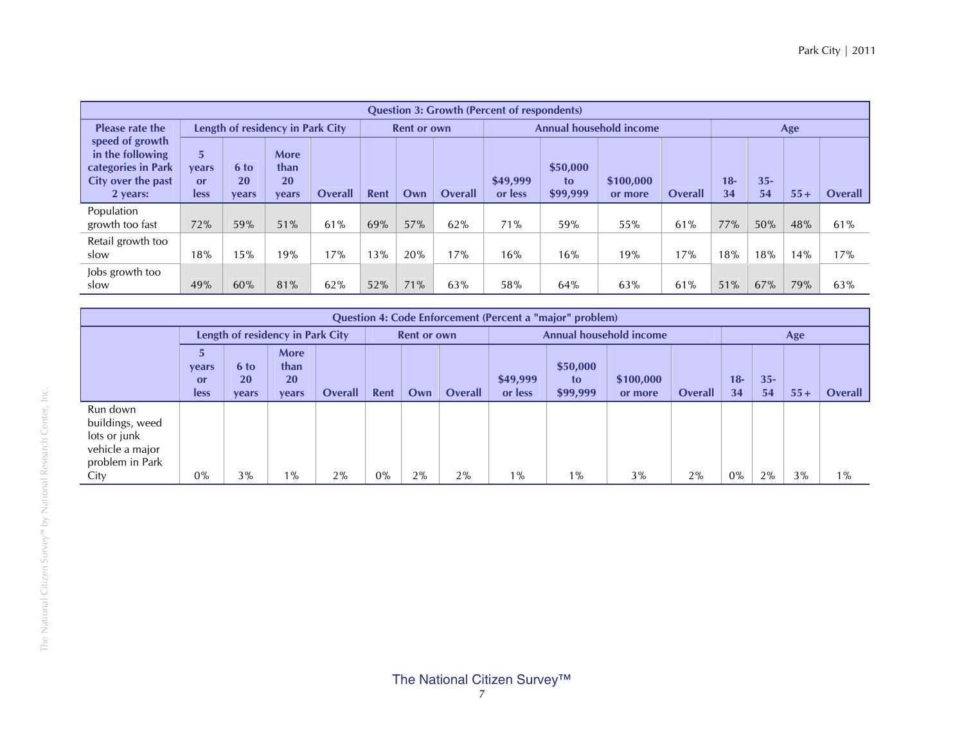|                                                                                             |                                                                                                                        |     |                                  |     |     |                    |                | <b>Question 3: Growth (Percent of respondents)</b> |                            |                                |                |              |              |       |                |
|---------------------------------------------------------------------------------------------|------------------------------------------------------------------------------------------------------------------------|-----|----------------------------------|-----|-----|--------------------|----------------|----------------------------------------------------|----------------------------|--------------------------------|----------------|--------------|--------------|-------|----------------|
| <b>Please rate the</b>                                                                      |                                                                                                                        |     | Length of residency in Park City |     |     | <b>Rent or own</b> |                |                                                    |                            | <b>Annual household income</b> |                |              |              | Age   |                |
| speed of growth<br>in the following<br>categories in Park<br>City over the past<br>2 years: | <b>More</b><br>5<br>than<br>6 to<br>vears<br>20<br><b>20</b><br>$\alpha$ r<br><b>Overall</b><br>less<br>vears<br>vears |     |                                  |     |     | Own                | <b>Overall</b> | \$49,999<br>or less                                | \$50,000<br>to<br>\$99,999 | \$100,000<br>or more           | <b>Overall</b> | $18 -$<br>34 | $35 -$<br>54 | $55+$ | <b>Overall</b> |
| Population<br>growth too fast                                                               | 72%                                                                                                                    | 59% | 51%                              | 61% | 69% | 57%                | 62%            | 71%                                                | 59%                        | 55%                            | 61%            | 77%          | 50%          | 48%   | 61%            |
| Retail growth too<br>slow                                                                   | 18%                                                                                                                    | 15% | 19%                              | 17% | 13% | 20%                | 17%            | 16%                                                | 16%                        | 19%                            | 17%            | 18%          | 18%          | 14%   | 17%            |
| Jobs growth too<br>slow                                                                     | 49%                                                                                                                    | 60% | 81%                              | 62% | 52% | 71%                | 63%            | 58%                                                | 64%                        | 63%                            | 61%            | 51%          | 67%          | 79%   | 63%            |

|                                                                                           |                                                                                                                 |    |                                  |    |       |                    |                |                     | Question 4: Code Enforcement (Percent a "major" problem) |                                |                |             |              |       |                |
|-------------------------------------------------------------------------------------------|-----------------------------------------------------------------------------------------------------------------|----|----------------------------------|----|-------|--------------------|----------------|---------------------|----------------------------------------------------------|--------------------------------|----------------|-------------|--------------|-------|----------------|
|                                                                                           |                                                                                                                 |    | Length of residency in Park City |    |       | <b>Rent or own</b> |                |                     |                                                          | <b>Annual household income</b> |                |             |              | Age   |                |
|                                                                                           | <b>More</b><br>than<br>6 to<br>vears<br>20 <sup>1</sup><br><b>20</b><br>or<br>Overall<br>less<br>vears<br>vears |    |                                  |    |       | Own                | <b>Overall</b> | \$49,999<br>or less | \$50,000<br>to<br>\$99,999                               | \$100,000<br>or more           | <b>Overall</b> | $18-$<br>34 | $35 -$<br>54 | $55+$ | <b>Overall</b> |
| Run down<br>buildings, weed<br>lots or junk<br>vehicle a major<br>problem in Park<br>City | 0%                                                                                                              | 3% | $1\%$                            | 2% | $0\%$ | $2\%$              | 2%             | $1\%$               | $1\%$                                                    | 3%                             | 2%             | $0\%$       | 2%           | 3%    | $1\%$          |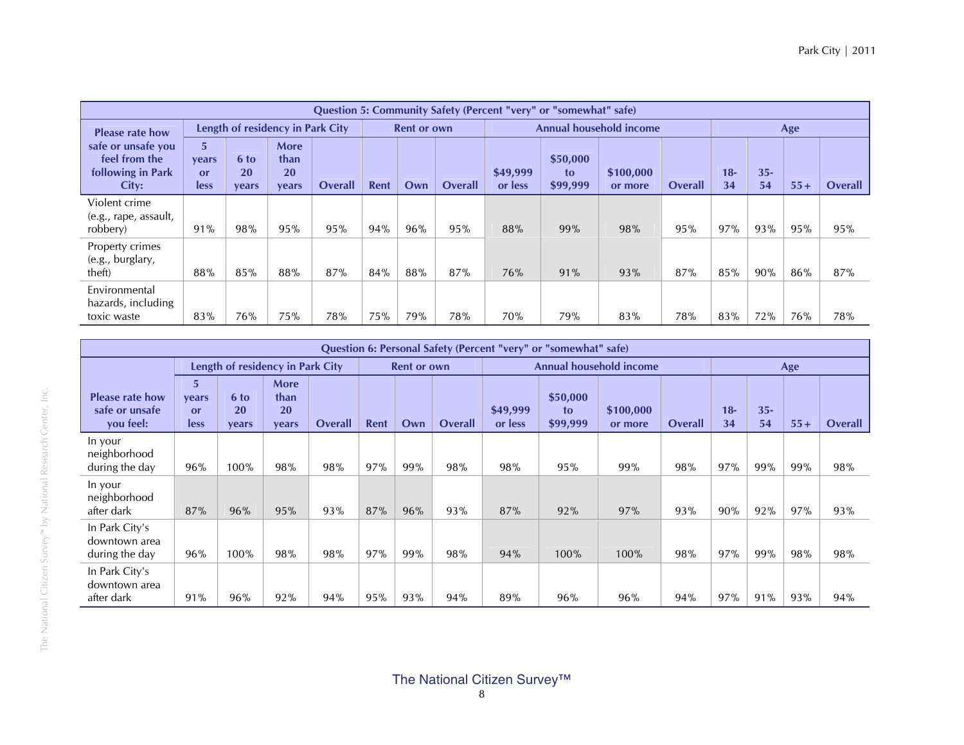|                                                                   |                                 |                     |                                    |                |      |                    |                |                     | <b>Question 5: Community Safety (Percent "very" or "somewhat" safe)</b> |                                |                |              |              |       |         |
|-------------------------------------------------------------------|---------------------------------|---------------------|------------------------------------|----------------|------|--------------------|----------------|---------------------|-------------------------------------------------------------------------|--------------------------------|----------------|--------------|--------------|-------|---------|
| <b>Please rate how</b>                                            |                                 |                     | Length of residency in Park City   |                |      | <b>Rent or own</b> |                |                     |                                                                         | <b>Annual household income</b> |                |              |              | Age   |         |
| safe or unsafe you<br>feel from the<br>following in Park<br>City: | 5<br><b>vears</b><br>or<br>less | 6 to<br>20<br>vears | More<br>than<br><b>20</b><br>vears | <b>Overall</b> | Rent | Own                | <b>Overall</b> | \$49,999<br>or less | \$50,000<br>to<br>\$99,999                                              | \$100,000<br>or more           | <b>Overall</b> | $18 -$<br>34 | $35 -$<br>54 | $55+$ | Overall |
| Violent crime<br>(e.g., rape, assault,<br>robbery)                | 91%                             | <b>98%</b>          | 95%                                | 95%            | 94%  | 96%                | 95%            | 88%                 | 99%                                                                     | 98%                            | 95%            | 97%          | 93%          | 95%   | 95%     |
| Property crimes<br>(e.g., burglary,<br>theft)                     | 88%                             | 85%                 | 88%                                | 87%            | 84%  | 88%                | 87%            | 76%                 | 91%                                                                     | 93%                            | 87%            | 85%          | 90%          | 86%   | 87%     |
| Environmental<br>hazards, including<br>toxic waste                | 83%                             | 76%                 | 75%                                | 78%            | 75%  | 79%                | 78%            | 70%                 | 79%                                                                     | 83%                            | 78%            | 83%          | 72%          | 76%   | 78%     |

|                                                       |                                              |                                  |                                    |                |             |                    |                |                     | Question 6: Personal Safety (Percent "very" or "somewhat" safe) |                         |                |             |              |       |                |
|-------------------------------------------------------|----------------------------------------------|----------------------------------|------------------------------------|----------------|-------------|--------------------|----------------|---------------------|-----------------------------------------------------------------|-------------------------|----------------|-------------|--------------|-------|----------------|
|                                                       |                                              | Length of residency in Park City |                                    |                |             | <b>Rent or own</b> |                |                     |                                                                 | Annual household income |                |             |              | Age   |                |
| <b>Please rate how</b><br>safe or unsafe<br>you feel: | $\overline{5}$<br><b>vears</b><br>or<br>less | 6 to<br>20<br>years              | <b>More</b><br>than<br>20<br>years | <b>Overall</b> | <b>Rent</b> | Own                | <b>Overall</b> | \$49,999<br>or less | \$50,000<br>to<br>\$99,999                                      | \$100,000<br>or more    | <b>Overall</b> | $18-$<br>34 | $35 -$<br>54 | $55+$ | <b>Overall</b> |
| In your<br>neighborhood<br>during the day             | 96%                                          | 100%                             | 98%                                | 98%            | 97%         | 99%                | 98%            | 98%                 | 95%                                                             | 99%                     | 98%            | 97%         | 99%          | 99%   | 98%            |
| In your<br>neighborhood<br>after dark                 | 87%                                          | 96%                              | 95%                                | 93%            | 87%         | 96%                | 93%            | 87%                 | 92%                                                             | 97%                     | 93%            | 90%         | 92%          | 97%   | 93%            |
| In Park City's<br>downtown area<br>during the day     | 96%                                          | 100%                             | 98%                                | 98%            | 97%         | 99%                | 98%            | 94%                 | 100%                                                            | 100%                    | 98%            | 97%         | 99%          | 98%   | 98%            |
| In Park City's<br>downtown area<br>after dark         | 91%                                          | 96%                              | 92%                                | 94%            | 95%         | 93%                | 94%            | 89%                 | 96%                                                             | 96%                     | 94%            | 97%         | 91%          | 93%   | 94%            |

The National Citizen Survey™ by National Research Center, Inc.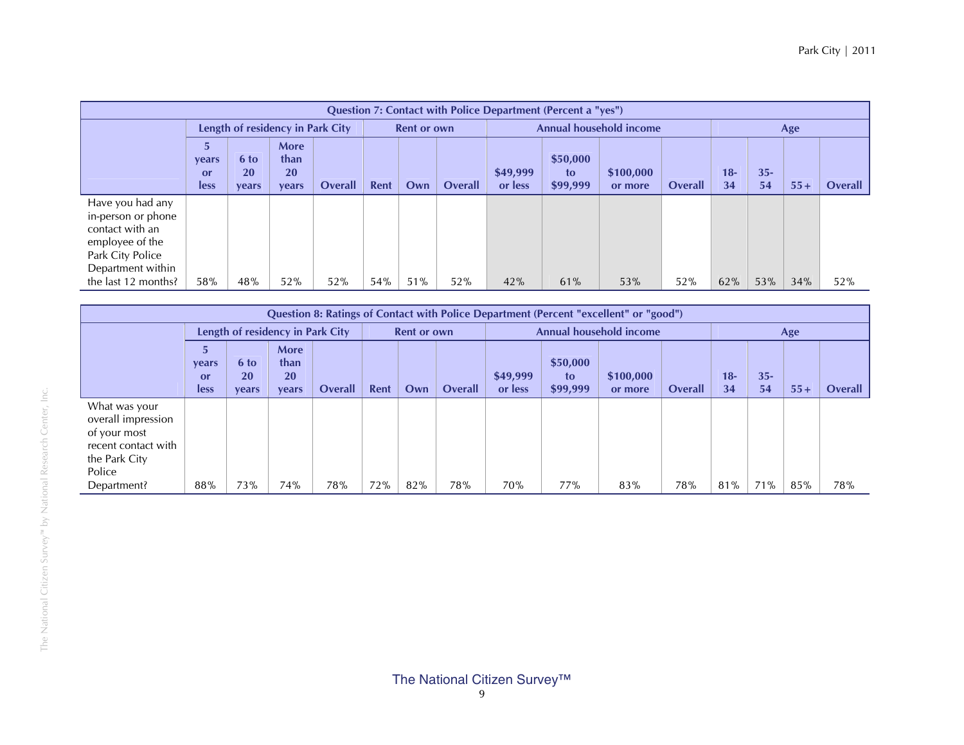|                                                                                                                       |                            |                            |                                           |                |             |                    |                |                     | Question 7: Contact with Police Department (Percent a "yes") |                                |                |              |             |       |                |
|-----------------------------------------------------------------------------------------------------------------------|----------------------------|----------------------------|-------------------------------------------|----------------|-------------|--------------------|----------------|---------------------|--------------------------------------------------------------|--------------------------------|----------------|--------------|-------------|-------|----------------|
|                                                                                                                       |                            |                            | Length of residency in Park City          |                |             | <b>Rent or own</b> |                |                     |                                                              | <b>Annual household income</b> |                |              |             | Age   |                |
|                                                                                                                       | vears<br>or<br><b>less</b> | 6 to<br><b>20</b><br>vears | <b>More</b><br>than<br><b>20</b><br>vears | <b>Overall</b> | <b>Rent</b> | Own                | <b>Overall</b> | \$49,999<br>or less | \$50,000<br>to<br>\$99,999                                   | \$100,000<br>or more           | <b>Overall</b> | $18 -$<br>34 | $35-$<br>54 | $55+$ | <b>Overall</b> |
| Have you had any<br>in-person or phone<br>contact with an<br>employee of the<br>Park City Police<br>Department within |                            |                            |                                           |                |             |                    |                |                     |                                                              |                                |                |              |             |       |                |
| the last 12 months?                                                                                                   | 58%                        | 48%                        | 52%                                       | 52%            | 54%         | 51%                | 52%            | 42%                 | 61%                                                          | 53%                            | 52%            | 62%          | 53%         | 34%   | 52%            |

|                                                                                                       |                            |                     |                                           |         |      |                    |                |                     |                            | <b>Question 8: Ratings of Contact with Police Department (Percent "excellent" or "good")</b> |         |             |              |       |                |
|-------------------------------------------------------------------------------------------------------|----------------------------|---------------------|-------------------------------------------|---------|------|--------------------|----------------|---------------------|----------------------------|----------------------------------------------------------------------------------------------|---------|-------------|--------------|-------|----------------|
|                                                                                                       |                            |                     | Length of residency in Park City          |         |      | <b>Rent or own</b> |                |                     |                            | <b>Annual household income</b>                                                               |         |             |              | Age   |                |
|                                                                                                       | vears<br>or<br><b>less</b> | 6 to<br>20<br>years | <b>More</b><br>than<br><b>20</b><br>vears | Overall | Rent | Own                | <b>Overall</b> | \$49,999<br>or less | \$50,000<br>to<br>\$99,999 | \$100,000<br>or more                                                                         | Overall | $18-$<br>34 | $35 -$<br>54 | $55+$ | <b>Overall</b> |
| What was your<br>overall impression<br>of your most<br>recent contact with<br>the Park City<br>Police |                            |                     |                                           |         |      |                    |                |                     |                            |                                                                                              |         |             |              |       |                |
| Department?                                                                                           | 88%                        | 73%                 | 74%                                       | 78%     | 72%  | 82%                | 78%            | 70%                 | 77%                        | 83%                                                                                          | 78%     | 81%         | 71%          | 85%   | 78%            |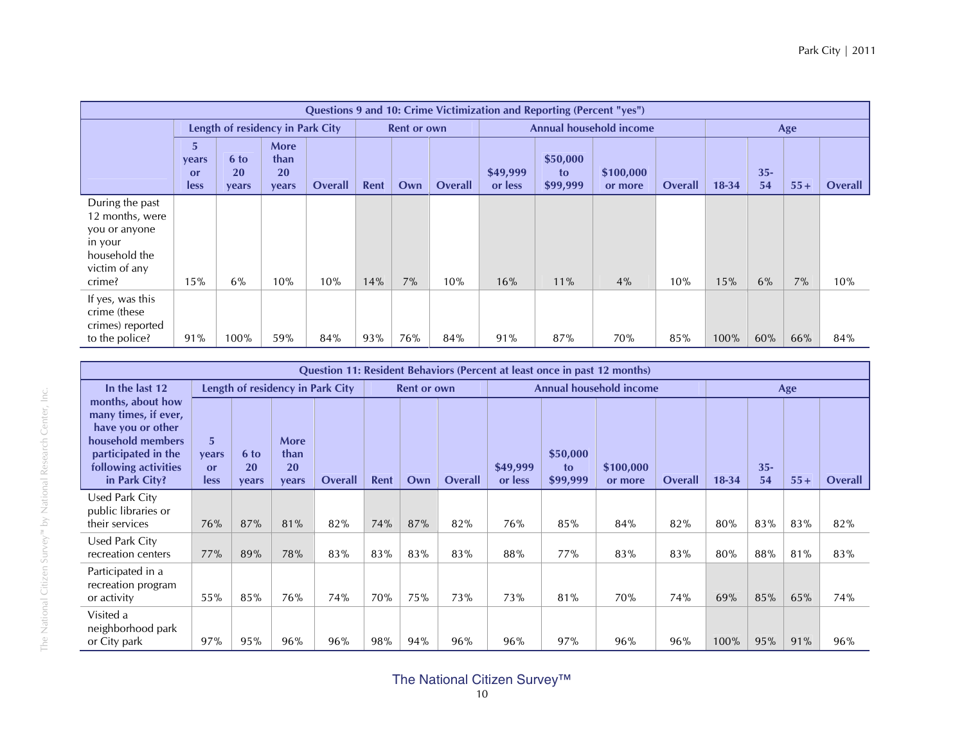|                                                                                                            |                           |                                   |                                    |         |      |                    |                |                     | Questions 9 and 10: Crime Victimization and Reporting (Percent "yes") |                                |         |           |              |       |                |
|------------------------------------------------------------------------------------------------------------|---------------------------|-----------------------------------|------------------------------------|---------|------|--------------------|----------------|---------------------|-----------------------------------------------------------------------|--------------------------------|---------|-----------|--------------|-------|----------------|
|                                                                                                            |                           | Length of residency in Park City  |                                    |         |      | <b>Rent or own</b> |                |                     |                                                                       | <b>Annual household income</b> |         |           |              | Age   |                |
|                                                                                                            | 5.<br>years<br>or<br>less | 6 to<br><b>20</b><br><b>vears</b> | <b>More</b><br>than<br>20<br>vears | Overall | Rent | Own                | <b>Overall</b> | \$49,999<br>or less | \$50,000<br>to<br>\$99,999                                            | \$100,000<br>or more           | Overall | $18 - 34$ | $35 -$<br>54 | $55+$ | <b>Overall</b> |
| During the past<br>12 months, were<br>you or anyone<br>in your<br>household the<br>victim of any<br>crime? | 15%                       | 6%                                | 10%                                | 10%     | 14%  | 7%                 | 10%            | 16%                 | 11%                                                                   | 4%                             | 10%     | 15%       | 6%           | 7%    | 10%            |
| If yes, was this<br>crime (these<br>crimes) reported<br>to the police?                                     | 91%                       | 100%                              | 59%                                | 84%     | 93%  | 76%                | 84%            | 91%                 | 87%                                                                   | 70%                            | 85%     | 100%      | 60%          | 66%   | 84%            |

|                                                                                                                                                     |                                                     |                            |                                           |                                  |      |                    |         |                     |                            | Question 11: Resident Behaviors (Percent at least once in past 12 months) |                |           |              |       |                |
|-----------------------------------------------------------------------------------------------------------------------------------------------------|-----------------------------------------------------|----------------------------|-------------------------------------------|----------------------------------|------|--------------------|---------|---------------------|----------------------------|---------------------------------------------------------------------------|----------------|-----------|--------------|-------|----------------|
| In the last 12                                                                                                                                      |                                                     |                            |                                           | Length of residency in Park City |      | <b>Rent or own</b> |         |                     |                            | Annual household income                                                   |                |           |              | Age   |                |
| months, about how<br>many times, if ever,<br>have you or other<br>household members<br>participated in the<br>following activities<br>in Park City? | 5 <sup>5</sup><br><b>vears</b><br>or<br><b>less</b> | 6 to<br><b>20</b><br>vears | <b>More</b><br>than<br><b>20</b><br>vears | <b>Overall</b>                   | Rent | Own                | Overall | \$49,999<br>or less | \$50,000<br>to<br>\$99,999 | \$100,000<br>or more                                                      | <b>Overall</b> | $18 - 34$ | $35 -$<br>54 | $55+$ | <b>Overall</b> |
| Used Park City<br>public libraries or<br>their services                                                                                             | 76%                                                 | 87%                        | 81%                                       | 82%                              | 74%  | 87%                | 82%     | 76%                 | 85%                        | 84%                                                                       | 82%            | 80%       | 83%          | 83%   | 82%            |
| Used Park City<br>recreation centers                                                                                                                | 77%                                                 | 89%                        | 78%                                       | 83%                              | 83%  | 83%                | 83%     | 88%                 | 77%                        | 83%                                                                       | 83%            | 80%       | 88%          | 81%   | 83%            |
| Participated in a<br>recreation program<br>or activity                                                                                              | 55%                                                 | 85%                        | 76%                                       | 74%                              | 70%  | 75%                | 73%     | 73%                 | 81%                        | <b>70%</b>                                                                | 74%            | 69%       | 85%          | 65%   | 74%            |
| Visited a<br>neighborhood park<br>or City park                                                                                                      | 97%                                                 | 95%                        | 96%                                       | 96%                              | 98%  | 94%                | 96%     | 96%                 | 97%                        | 96%                                                                       | 96%            | 100%      | 95%          | 91%   | 96%            |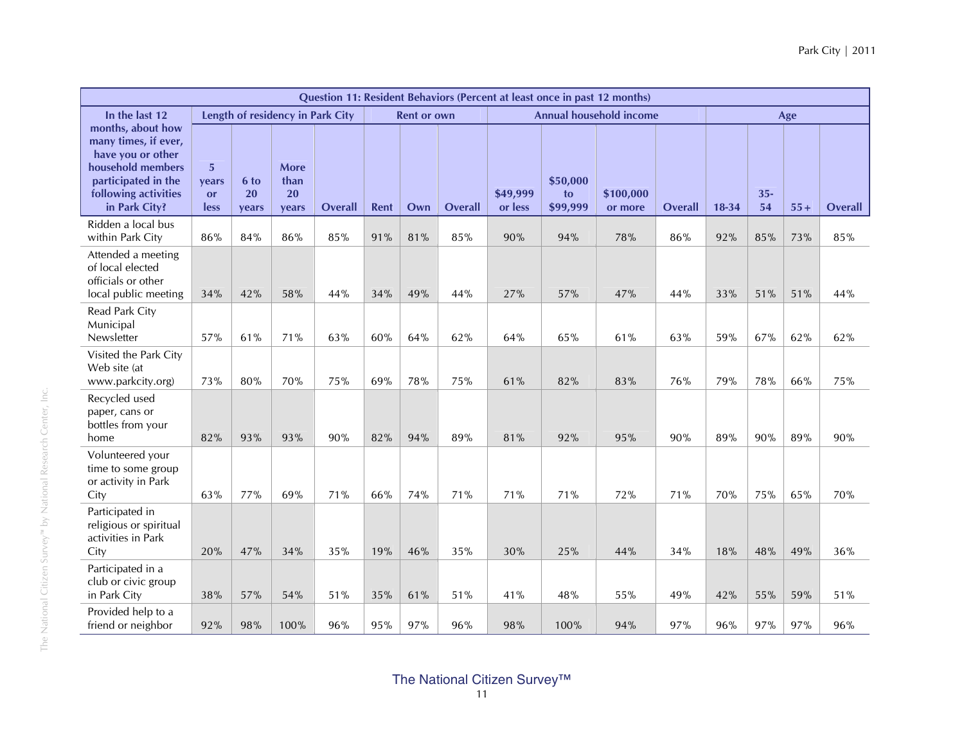|                                                                                                                                                     |                                 |                            |                                  |                |             |                    |                |                     |                            | Question 11: Resident Behaviors (Percent at least once in past 12 months) |                |         |              |       |                |
|-----------------------------------------------------------------------------------------------------------------------------------------------------|---------------------------------|----------------------------|----------------------------------|----------------|-------------|--------------------|----------------|---------------------|----------------------------|---------------------------------------------------------------------------|----------------|---------|--------------|-------|----------------|
| In the last 12                                                                                                                                      |                                 |                            | Length of residency in Park City |                |             | <b>Rent or own</b> |                |                     |                            | <b>Annual household income</b>                                            |                |         |              | Age   |                |
| months, about how<br>many times, if ever,<br>have you or other<br>household members<br>participated in the<br>following activities<br>in Park City? | 5<br>vears<br><b>or</b><br>less | 6 to<br><b>20</b><br>years | More<br>than<br>20<br>years      | <b>Overall</b> | <b>Rent</b> | Own                | <b>Overall</b> | \$49,999<br>or less | \$50,000<br>to<br>\$99,999 | \$100,000<br>or more                                                      | <b>Overall</b> | $18-34$ | $35 -$<br>54 | $55+$ | <b>Overall</b> |
| Ridden a local bus<br>within Park City                                                                                                              | 86%                             | 84%                        | 86%                              | 85%            | 91%         | 81%                | 85%            | 90%                 | 94%                        | 78%                                                                       | 86%            | 92%     | 85%          | 73%   | $85\%$         |
| Attended a meeting<br>of local elected<br>officials or other<br>local public meeting                                                                | 34%                             | 42%                        | 58%                              | 44%            | 34%         | 49%                | 44%            | 27%                 | 57%                        | 47%                                                                       | 44%            | 33%     | 51%          | 51%   | 44%            |
| Read Park City<br>Municipal<br>Newsletter                                                                                                           | 57%                             | 61%                        | 71%                              | 63%            | $60\%$      | 64%                | 62%            | 64%                 | 65%                        | 61%                                                                       | 63%            | 59%     | 67%          | 62%   | 62%            |
| Visited the Park City<br>Web site (at<br>www.parkcity.org)                                                                                          | 73%                             | 80%                        | 70%                              | 75%            | 69%         | 78%                | 75%            | 61%                 | 82%                        | 83%                                                                       | 76%            | 79%     | 78%          | 66%   | 75%            |
| Recycled used<br>paper, cans or<br>bottles from your<br>home                                                                                        | 82%                             | 93%                        | 93%                              | 90%            | 82%         | 94%                | 89%            | 81%                 | 92%                        | 95%                                                                       | 90%            | 89%     | 90%          | 89%   | 90%            |
| Volunteered your<br>time to some group<br>or activity in Park<br>City                                                                               | 63%                             | 77%                        | 69%                              | 71%            | 66%         | 74%                | 71%            | 71%                 | 71%                        | 72%                                                                       | 71%            | 70%     | 75%          | 65%   | 70%            |
| Participated in<br>religious or spiritual<br>activities in Park<br>City                                                                             | 20%                             | 47%                        | 34%                              | 35%            | 19%         | 46%                | 35%            | 30%                 | 25%                        | 44%                                                                       | 34%            | 18%     | 48%          | 49%   | 36%            |
| Participated in a<br>club or civic group<br>in Park City                                                                                            | 38%                             | 57%                        | 54%                              | 51%            | 35%         | 61%                | 51%            | 41%                 | 48%                        | 55%                                                                       | 49%            | 42%     | 55%          | 59%   | 51%            |
| Provided help to a<br>friend or neighbor                                                                                                            | 92%                             | 98%                        | 100%                             | 96%            | 95%         | 97%                | 96%            | 98%                 | 100%                       | 94%                                                                       | 97%            | 96%     | 97%          | 97%   | 96%            |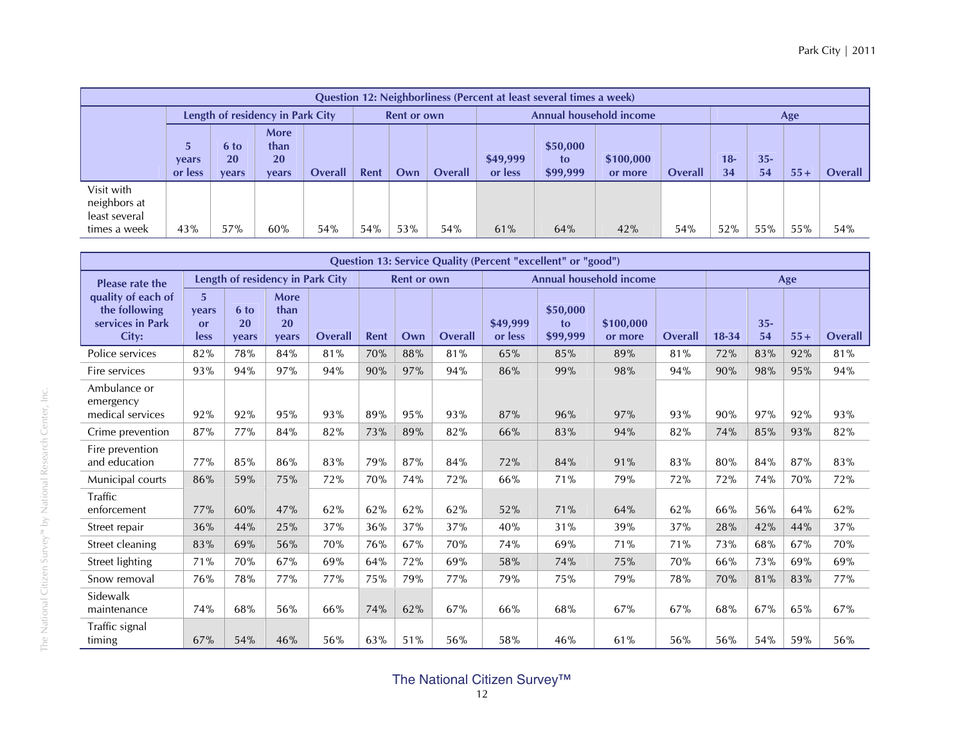|                                                             |                                                                                                      |     |                                  |     |      |                    |                |                     | Question 12: Neighborliness (Percent at least several times a week) |                         |                |              |              |       |                |
|-------------------------------------------------------------|------------------------------------------------------------------------------------------------------|-----|----------------------------------|-----|------|--------------------|----------------|---------------------|---------------------------------------------------------------------|-------------------------|----------------|--------------|--------------|-------|----------------|
|                                                             |                                                                                                      |     | Length of residency in Park City |     |      | <b>Rent or own</b> |                |                     |                                                                     | Annual household income |                |              |              | Age   |                |
|                                                             | More<br>5<br>than<br>6 to<br><b>20</b><br>20<br>years<br><b>Overall</b><br>or less<br>vears<br>vears |     |                                  |     | Rent | Own                | <b>Overall</b> | \$49,999<br>or less | \$50,000<br>to<br>\$99,999                                          | \$100,000<br>or more    | <b>Overall</b> | $18 -$<br>34 | $35 -$<br>54 | $55+$ | <b>Overall</b> |
| Visit with<br>neighbors at<br>least several<br>times a week | 43%                                                                                                  | 57% | 60%                              | 54% | 54%  | 53%                | 54%            | 61%                 | 64%                                                                 | 42%                     | 54%            | 52%          | 55%          | 55%   | 54%            |

|                                                                  |                                       |                            |                                    |         |      |                    |         |                     | Question 13: Service Quality (Percent "excellent" or "good") |                                |            |           |              |            |                |
|------------------------------------------------------------------|---------------------------------------|----------------------------|------------------------------------|---------|------|--------------------|---------|---------------------|--------------------------------------------------------------|--------------------------------|------------|-----------|--------------|------------|----------------|
| <b>Please rate the</b>                                           |                                       |                            | Length of residency in Park City   |         |      | <b>Rent or own</b> |         |                     |                                                              | <b>Annual household income</b> |            |           |              | Age        |                |
| quality of each of<br>the following<br>services in Park<br>City: | $\overline{5}$<br>vears<br>or<br>less | 6 to<br><b>20</b><br>vears | More<br>than<br><b>20</b><br>vears | Overall | Rent | Own                | Overall | \$49,999<br>or less | \$50,000<br>to<br>\$99,999                                   | \$100,000<br>or more           | Overall    | $18 - 34$ | $35 -$<br>54 | $55+$      | <b>Overall</b> |
| Police services                                                  | 82%                                   | 78%                        | 84%                                | 81%     | 70%  | 88%                | 81%     | 65%                 | 85%                                                          | 89%                            | 81%        | 72%       | 83%          | 92%        | 81%            |
| Fire services                                                    | 93%                                   | 94%                        | 97%                                | 94%     | 90%  | 97%                | 94%     | 86%                 | 99%                                                          | 98%                            | 94%        | 90%       | 98%          | 95%        | 94%            |
| Ambulance or<br>emergency<br>medical services                    | 92%                                   | 92%                        | 95%                                | 93%     | 89%  | 95%                | 93%     | 87%                 | 96%                                                          | 97%                            | 93%        | 90%       | 97%          | 92%        | 93%            |
| Crime prevention                                                 | 87%                                   | 77%                        | 84%                                | 82%     | 73%  | 89%                | 82%     | 66%                 | 83%                                                          | 94%                            | 82%        | 74%       | 85%          | 93%        | 82%            |
| Fire prevention<br>and education                                 | 77%                                   | 85%                        | 86%                                | 83%     | 79%  | 87%                | 84%     | 72%                 | 84%                                                          | 91%                            | 83%        | 80%       | 84%          | 87%        | 83%            |
| Municipal courts                                                 | 86%                                   | 59%                        | 75%                                | 72%     | 70%  | 74%                | 72%     | 66%                 | 71%                                                          | 79%                            | 72%        | 72%       | 74%          | <b>70%</b> | 72%            |
| Traffic<br>enforcement                                           | 77%                                   | 60%                        | 47%                                | 62%     | 62%  | 62%                | 62%     | 52%                 | 71%                                                          | 64%                            | 62%        | 66%       | 56%          | 64%        | 62%            |
| Street repair                                                    | 36%                                   | 44%                        | 25%                                | 37%     | 36%  | 37%                | 37%     | 40%                 | 31%                                                          | 39%                            | 37%        | 28%       | 42%          | 44%        | 37%            |
| Street cleaning                                                  | 83%                                   | 69%                        | 56%                                | 70%     | 76%  | 67%                | 70%     | 74%                 | 69%                                                          | 71%                            | 71%        | 73%       | 68%          | 67%        | 70%            |
| Street lighting                                                  | 71%                                   | 70%                        | 67%                                | 69%     | 64%  | 72%                | 69%     | 58%                 | 74%                                                          | 75%                            | <b>70%</b> | 66%       | 73%          | 69%        | 69%            |
| Snow removal                                                     | 76%                                   | 78%                        | 77%                                | 77%     | 75%  | 79%                | 77%     | 79%                 | 75%                                                          | 79%                            | 78%        | 70%       | 81%          | 83%        | 77%            |
| Sidewalk<br>maintenance                                          | 74%                                   | 68%                        | 56%                                | 66%     | 74%  | 62%                | 67%     | 66%                 | 68%                                                          | 67%                            | 67%        | 68%       | 67%          | 65%        | 67%            |
| Traffic signal<br>timing                                         | 67%                                   | 54%                        | 46%                                | 56%     | 63%  | 51%                | 56%     | 58%                 | 46%                                                          | 61%                            | 56%        | 56%       | 54%          | 59%        | 56%            |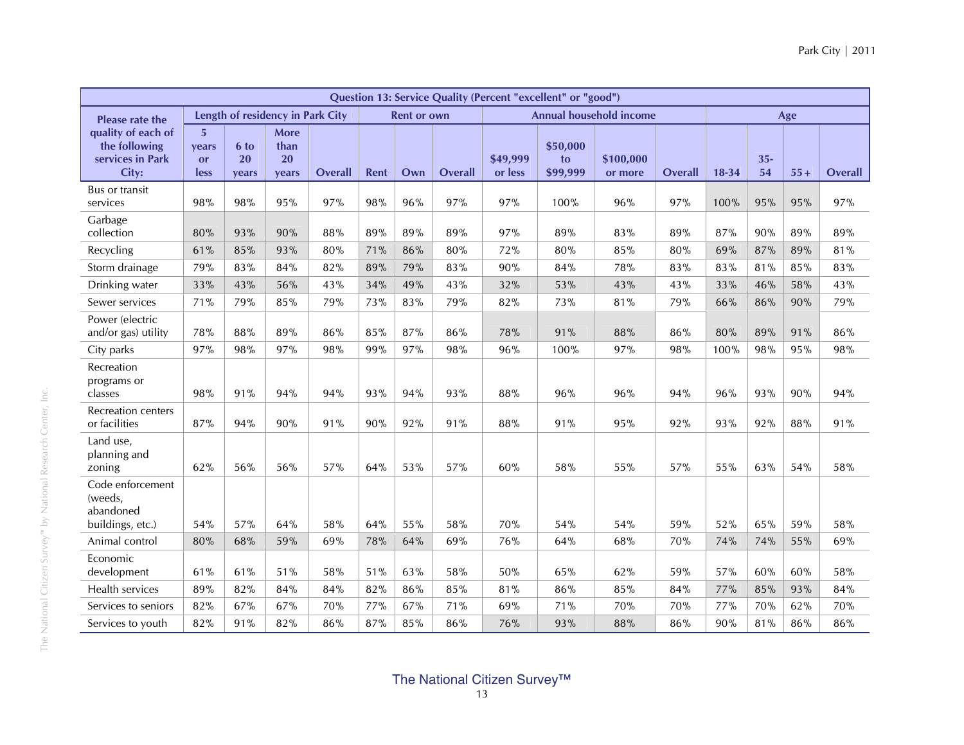|                                                                  |                                 |                     |                                    |                |             |                    |         |                     | <b>Question 13: Service Quality (Percent "excellent" or "good")</b> |                                |                |         |              |       |                |
|------------------------------------------------------------------|---------------------------------|---------------------|------------------------------------|----------------|-------------|--------------------|---------|---------------------|---------------------------------------------------------------------|--------------------------------|----------------|---------|--------------|-------|----------------|
| <b>Please rate the</b>                                           |                                 |                     | Length of residency in Park City   |                |             | <b>Rent or own</b> |         |                     |                                                                     | <b>Annual household income</b> |                |         |              | Age   |                |
| quality of each of<br>the following<br>services in Park<br>City: | 5<br>vears<br><b>or</b><br>less | 6 to<br>20<br>vears | <b>More</b><br>than<br>20<br>vears | <b>Overall</b> | <b>Rent</b> | Own                | Overall | \$49,999<br>or less | \$50,000<br>to<br>\$99,999                                          | \$100,000<br>or more           | <b>Overall</b> | $18-34$ | $35 -$<br>54 | $55+$ | <b>Overall</b> |
| <b>Bus or transit</b><br>services                                | 98%                             | 98%                 | 95%                                | 97%            | 98%         | 96%                | 97%     | 97%                 | 100%                                                                | 96%                            | 97%            | 100%    | 95%          | 95%   | 97%            |
| Garbage<br>collection                                            | 80%                             | 93%                 | 90%                                | 88%            | 89%         | 89%                | 89%     | 97%                 | 89%                                                                 | 83%                            | 89%            | 87%     | 90%          | 89%   | 89%            |
| Recycling                                                        | 61%                             | 85%                 | 93%                                | 80%            | 71%         | 86%                | 80%     | 72%                 | 80%                                                                 | 85%                            | $80\%$         | 69%     | 87%          | 89%   | 81%            |
| Storm drainage                                                   | 79%                             | 83%                 | 84%                                | 82%            | 89%         | 79%                | 83%     | 90%                 | 84%                                                                 | 78%                            | 83%            | 83%     | 81%          | 85%   | 83%            |
| Drinking water                                                   | 33%                             | 43%                 | 56%                                | 43%            | 34%         | 49%                | 43%     | 32%                 | 53%                                                                 | 43%                            | 43%            | 33%     | 46%          | 58%   | 43%            |
| Sewer services                                                   | 71%                             | 79%                 | 85%                                | 79%            | 73%         | 83%                | 79%     | 82%                 | 73%                                                                 | 81%                            | 79%            | 66%     | 86%          | 90%   | 79%            |
| Power (electric<br>and/or gas) utility                           | 78%                             | 88%                 | 89%                                | 86%            | 85%         | 87%                | 86%     | 78%                 | 91%                                                                 | 88%                            | 86%            | 80%     | 89%          | 91%   | 86%            |
| City parks                                                       | 97%                             | 98%                 | 97%                                | 98%            | 99%         | 97%                | 98%     | 96%                 | 100%                                                                | 97%                            | 98%            | 100%    | 98%          | 95%   | 98%            |
| Recreation<br>programs or<br>classes                             | 98%                             | 91%                 | 94%                                | 94%            | 93%         | 94%                | 93%     | 88%                 | 96%                                                                 | 96%                            | 94%            | 96%     | 93%          | 90%   | 94%            |
| <b>Recreation centers</b><br>or facilities                       | 87%                             | 94%                 | 90%                                | 91%            | 90%         | 92%                | 91%     | 88%                 | 91%                                                                 | 95%                            | 92%            | 93%     | 92%          | 88%   | 91%            |
| Land use,<br>planning and<br>zoning                              | 62%                             | 56%                 | 56%                                | 57%            | 64%         | 53%                | 57%     | 60%                 | 58%                                                                 | 55%                            | 57%            | 55%     | 63%          | 54%   | 58%            |
| Code enforcement<br>(weeds,<br>abandoned<br>buildings, etc.)     | 54%                             | 57%                 | 64%                                | 58%            | 64%         | 55%                | 58%     | 70%                 | 54%                                                                 | 54%                            | 59%            | 52%     | 65%          | 59%   | 58%            |
| Animal control                                                   | 80%                             | 68%                 | 59%                                | 69%            | 78%         | 64%                | 69%     | 76%                 | 64%                                                                 | 68%                            | 70%            | 74%     | 74%          | 55%   | 69%            |
| Economic<br>development                                          | 61%                             | 61%                 | 51%                                | 58%            | 51%         | 63%                | 58%     | 50%                 | 65%                                                                 | 62%                            | 59%            | 57%     | 60%          | 60%   | 58%            |
| Health services                                                  | 89%                             | 82%                 | 84%                                | 84%            | 82%         | 86%                | 85%     | 81%                 | 86%                                                                 | 85%                            | 84%            | 77%     | 85%          | 93%   | 84%            |
| Services to seniors                                              | 82%                             | 67%                 | 67%                                | 70%            | 77%         | 67%                | 71%     | 69%                 | 71%                                                                 | 70%                            | 70%            | 77%     | 70%          | 62%   | 70%            |
| Services to youth                                                | 82%                             | 91%                 | 82%                                | 86%            | 87%         | 85%                | 86%     | 76%                 | 93%                                                                 | 88%                            | 86%            | 90%     | 81%          | 86%   | 86%            |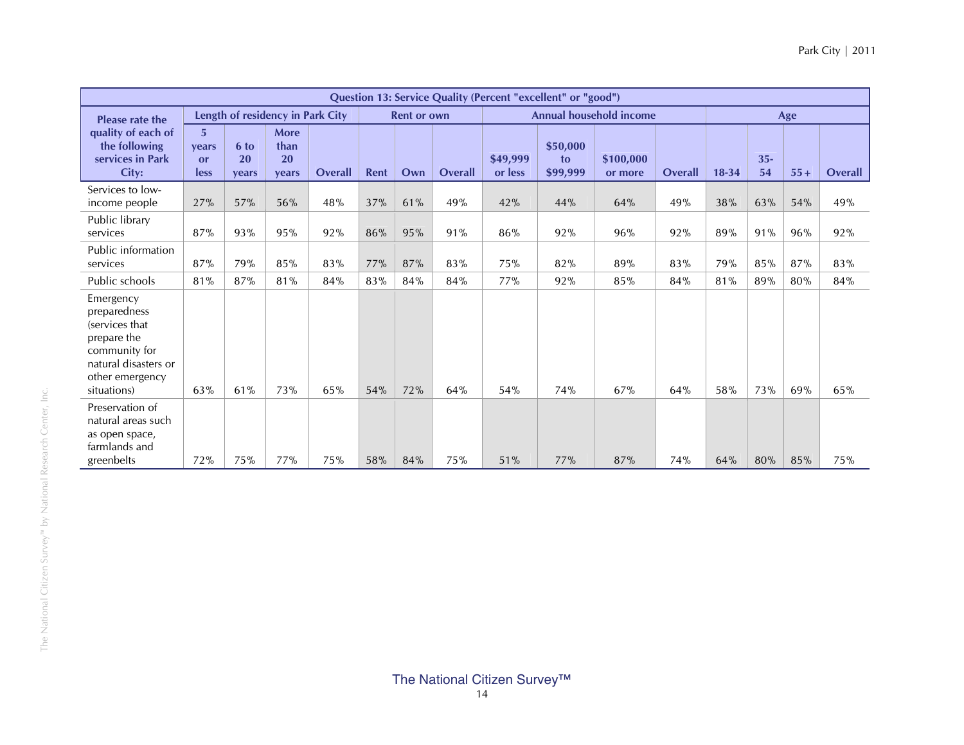|                                                                                                                                       |                          |                            |                                    |                |             |                    |                |                     | Question 13: Service Quality (Percent "excellent" or "good") |                                |                |           |              |       |                |
|---------------------------------------------------------------------------------------------------------------------------------------|--------------------------|----------------------------|------------------------------------|----------------|-------------|--------------------|----------------|---------------------|--------------------------------------------------------------|--------------------------------|----------------|-----------|--------------|-------|----------------|
| <b>Please rate the</b>                                                                                                                |                          |                            | Length of residency in Park City   |                |             | <b>Rent or own</b> |                |                     |                                                              | <b>Annual household income</b> |                |           |              | Age   |                |
| quality of each of<br>the following<br>services in Park<br>City:                                                                      | 5<br>vears<br>or<br>less | 6 to<br><b>20</b><br>vears | <b>More</b><br>than<br>20<br>vears | <b>Overall</b> | <b>Rent</b> | Own                | <b>Overall</b> | \$49,999<br>or less | \$50,000<br>to<br>\$99,999                                   | \$100,000<br>or more           | <b>Overall</b> | $18 - 34$ | $35 -$<br>54 | $55+$ | <b>Overall</b> |
| Services to low-<br>income people                                                                                                     | 27%                      | 57%                        | 56%                                | 48%            | 37%         | 61%                | 49%            | 42%                 | 44%                                                          | 64%                            | 49%            | 38%       | 63%          | 54%   | 49%            |
| Public library<br>services                                                                                                            | 87%                      | 93%                        | 95%                                | 92%            | 86%         | 95%                | 91%            | 86%                 | 92%                                                          | 96%                            | 92%            | 89%       | 91%          | 96%   | 92%            |
| Public information<br>services                                                                                                        | 87%                      | 79%                        | 85%                                | 83%            | 77%         | 87%                | 83%            | 75%                 | 82%                                                          | 89%                            | 83%            | 79%       | 85%          | 87%   | 83%            |
| Public schools                                                                                                                        | 81%                      | 87%                        | 81%                                | 84%            | 83%         | 84%                | 84%            | 77%                 | 92%                                                          | 85%                            | 84%            | 81%       | 89%          | 80%   | 84%            |
| Emergency<br>preparedness<br>(services that<br>prepare the<br>community for<br>natural disasters or<br>other emergency<br>situations) | 63%                      | 61%                        | 73%                                | 65%            | 54%         | 72%                | 64%            | 54%                 | 74%                                                          | 67%                            | 64%            | 58%       | 73%          | 69%   | 65%            |
| Preservation of<br>natural areas such<br>as open space,<br>farmlands and<br>greenbelts                                                | 72%                      | 75%                        | 77%                                | 75%            | 58%         | 84%                | 75%            | 51%                 | 77%                                                          | 87%                            | 74%            | 64%       | 80%          | 85%   | 75%            |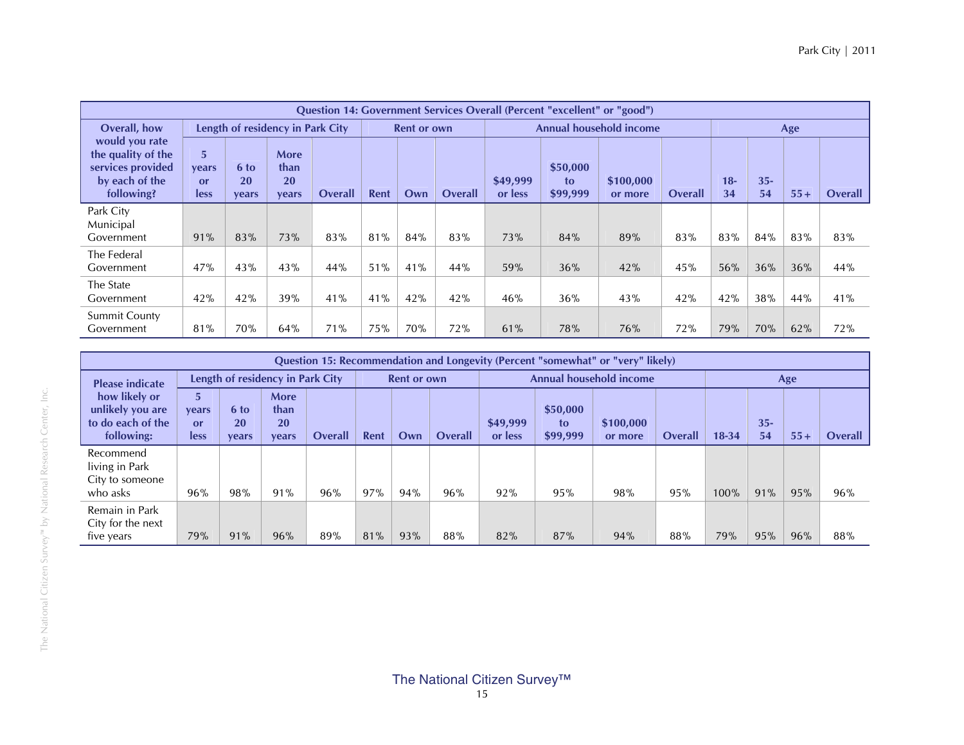|                                                                                           |                                       |                     |                                           |                |      |                    |                |                     | <b>Ouestion 14: Government Services Overall (Percent "excellent" or "good")</b> |                                |         |              |              |       |                |
|-------------------------------------------------------------------------------------------|---------------------------------------|---------------------|-------------------------------------------|----------------|------|--------------------|----------------|---------------------|---------------------------------------------------------------------------------|--------------------------------|---------|--------------|--------------|-------|----------------|
| Overall, how                                                                              |                                       |                     | Length of residency in Park City          |                |      | <b>Rent or own</b> |                |                     |                                                                                 | <b>Annual household income</b> |         |              |              | Age   |                |
| would you rate<br>the quality of the<br>services provided<br>by each of the<br>following? | 5<br>vears<br>$\alpha$<br><b>less</b> | 6 to<br>20<br>vears | <b>More</b><br>than<br>20<br><b>vears</b> | <b>Overall</b> | Rent | Own                | <b>Overall</b> | \$49,999<br>or less | \$50,000<br>to<br>\$99,999                                                      | \$100,000<br>or more           | Overall | $18 -$<br>34 | $35 -$<br>54 | $55+$ | <b>Overall</b> |
| Park City<br>Municipal<br>Government                                                      | 91%                                   | 83%                 | 73%                                       | 83%            | 81%  | 84%                | 83%            | 73%                 | 84%                                                                             | 89%                            | 83%     | 83%          | 84%          | 83%   | 83%            |
| The Federal<br>Government                                                                 | 47%                                   | 43%                 | 43%                                       | 44%            | 51%  | 41%                | 44%            | 59%                 | 36%                                                                             | 42%                            | 45%     | 56%          | 36%          | 36%   | 44%            |
| The State<br>Government                                                                   | 42%                                   | 42%                 | 39%                                       | 41%            | 41%  | 42%                | 42%            | 46%                 | 36%                                                                             | 43%                            | 42%     | 42%          | 38%          | 44%   | 41%            |
| <b>Summit County</b><br>Government                                                        | 81%                                   | 70%                 | 64%                                       | 71%            | 75%  | 70%                | 72%            | 61%                 | 78%                                                                             | 76%                            | 72%     | 79%          | 70%          | 62%   | 72%            |

|                                                                      |                          |                     |                                           |                |      |                    |                |                     |                            | Question 15: Recommendation and Longevity (Percent "somewhat" or "very" likely) |                |           |              |       |                |
|----------------------------------------------------------------------|--------------------------|---------------------|-------------------------------------------|----------------|------|--------------------|----------------|---------------------|----------------------------|---------------------------------------------------------------------------------|----------------|-----------|--------------|-------|----------------|
| <b>Please indicate</b>                                               |                          |                     | Length of residency in Park City          |                |      | <b>Rent or own</b> |                |                     |                            | Annual household income                                                         |                |           |              | Age   |                |
| how likely or<br>unlikely you are<br>to do each of the<br>following: | 5<br>years<br>or<br>less | 6 to<br>20<br>vears | <b>More</b><br>than<br><b>20</b><br>vears | <b>Overall</b> | Rent | Own                | <b>Overall</b> | \$49,999<br>or less | \$50,000<br>to<br>\$99,999 | \$100,000<br>or more                                                            | <b>Overall</b> | $18 - 34$ | $35 -$<br>54 | $55+$ | <b>Overall</b> |
| Recommend<br>living in Park<br>City to someone<br>who asks           | 96%                      | 98%                 | 91%                                       | 96%            | 97%  | 94%                | 96%            | 92%                 | 95%                        | 98%                                                                             | 95%            | 100%      | 91%          | 95%   | 96%            |
| Remain in Park<br>City for the next<br>five years                    | 79%                      | 91%                 | 96%                                       | 89%            | 81%  | 93%                | 88%            | 82%                 | 87%                        | 94%                                                                             | 88%            | 79%       | 95%          | 96%   | 88%            |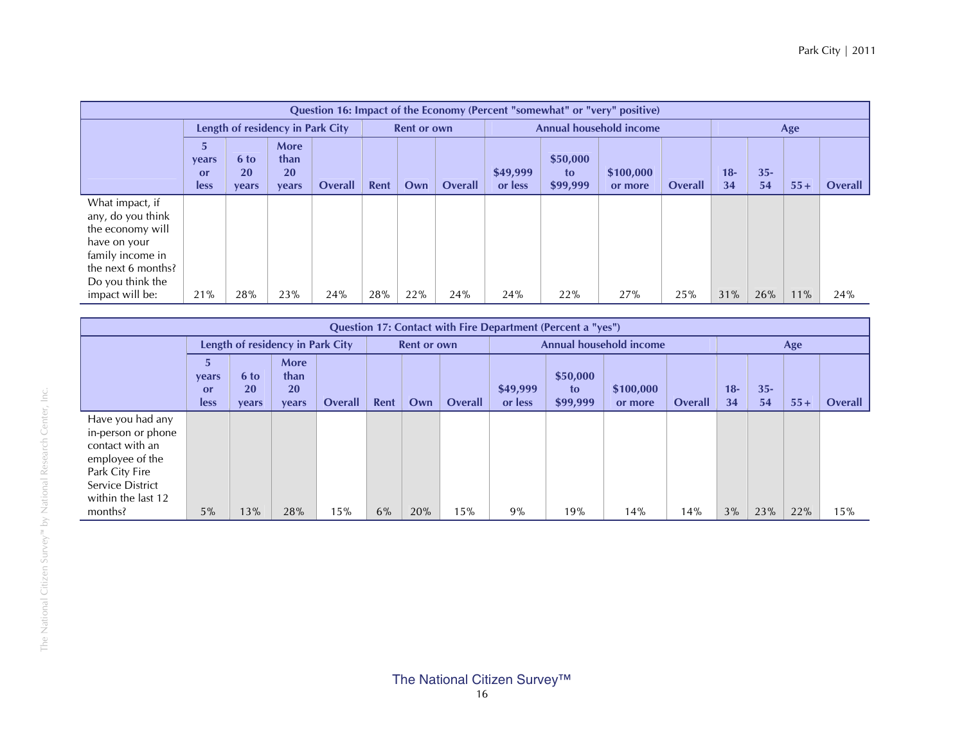|                                                                                                                                        |                                  |                                   |                                    |         |      |                    |                |                     |                            | Question 16: Impact of the Economy (Percent "somewhat" or "very" positive) |         |             |              |       |         |
|----------------------------------------------------------------------------------------------------------------------------------------|----------------------------------|-----------------------------------|------------------------------------|---------|------|--------------------|----------------|---------------------|----------------------------|----------------------------------------------------------------------------|---------|-------------|--------------|-------|---------|
|                                                                                                                                        |                                  |                                   | Length of residency in Park City   |         |      | <b>Rent or own</b> |                |                     |                            | Annual household income                                                    |         |             |              | Age   |         |
|                                                                                                                                        | 57<br><b>vears</b><br>or<br>less | 6 to<br><b>20</b><br><b>vears</b> | More<br>than<br>20<br><b>vears</b> | Overall | Rent | Own                | <b>Overall</b> | \$49,999<br>or less | \$50,000<br>to<br>\$99,999 | \$100,000<br>or more                                                       | Overall | $18-$<br>34 | $35 -$<br>54 | $55+$ | Overall |
| What impact, if<br>any, do you think<br>the economy will<br>have on your<br>family income in<br>the next 6 months?<br>Do you think the |                                  |                                   |                                    |         |      |                    |                |                     |                            |                                                                            |         |             |              |       |         |
| impact will be:                                                                                                                        | 21%                              | 28%                               | 23%                                | 24%     | 28%  | 22%                | 24%            | 24%                 | 22%                        | 27%                                                                        | 25%     | 31%         | 26%          | 11%   | 24%     |

|                                                                                                                                                     |                          |                            |                                    |                |      |                    |                |                     | <b>Question 17: Contact with Fire Department (Percent a "yes")</b> |                                |         |             |              |       |         |
|-----------------------------------------------------------------------------------------------------------------------------------------------------|--------------------------|----------------------------|------------------------------------|----------------|------|--------------------|----------------|---------------------|--------------------------------------------------------------------|--------------------------------|---------|-------------|--------------|-------|---------|
|                                                                                                                                                     |                          |                            | Length of residency in Park City   |                |      | <b>Rent or own</b> |                |                     |                                                                    | <b>Annual household income</b> |         |             |              | Age   |         |
|                                                                                                                                                     | 5<br>vears<br>or<br>less | 6 to<br><b>20</b><br>years | <b>More</b><br>than<br>20<br>years | <b>Overall</b> | Rent | Own                | <b>Overall</b> | \$49,999<br>or less | \$50,000<br>to<br>\$99,999                                         | \$100,000<br>or more           | Overall | $18-$<br>34 | $35 -$<br>54 | $55+$ | Overall |
| Have you had any<br>in-person or phone<br>contact with an<br>employee of the<br>Park City Fire<br>Service District<br>within the last 12<br>months? | 5%                       | 13%                        | 28%                                | 15%            | 6%   | 20%                | 15%            | 9%                  | 19%                                                                | 14%                            | 14%     | 3%          | 23%          | 22%   | 15%     |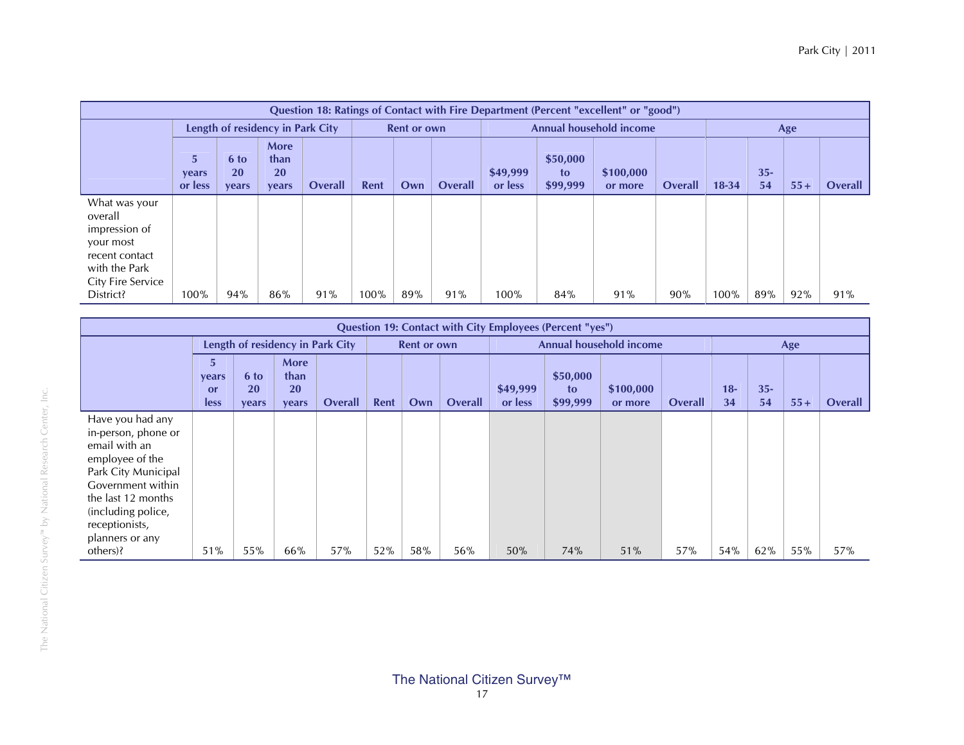|                                                                                                                |                        |                     |                                    |                |      |                    |                |                     |                            | Question 18: Ratings of Contact with Fire Department (Percent "excellent" or "good") |                |           |              |       |         |
|----------------------------------------------------------------------------------------------------------------|------------------------|---------------------|------------------------------------|----------------|------|--------------------|----------------|---------------------|----------------------------|--------------------------------------------------------------------------------------|----------------|-----------|--------------|-------|---------|
|                                                                                                                |                        |                     | Length of residency in Park City   |                |      | <b>Rent or own</b> |                |                     |                            | <b>Annual household income</b>                                                       |                |           |              | Age   |         |
|                                                                                                                | 5.<br>years<br>or less | 6 to<br>20<br>vears | More<br>than<br><b>20</b><br>vears | <b>Overall</b> | Rent | Own                | <b>Overall</b> | \$49,999<br>or less | \$50,000<br>to<br>\$99,999 | \$100,000<br>or more                                                                 | <b>Overall</b> | $18 - 34$ | $35 -$<br>54 | $55+$ | Overall |
| What was your<br>overall<br>impression of<br>your most<br>recent contact<br>with the Park<br>City Fire Service |                        |                     |                                    |                |      |                    |                |                     |                            |                                                                                      |                |           |              |       |         |
| District?                                                                                                      | 100%                   | 94%                 | 86%                                | 91%            | 100% | 89%                | 91%            | 100%                | 84%                        | 91%                                                                                  | 90%            | 100%      | 89%          | 92%   | 91%     |

|                                                                                                                                                                                                                      |                                 |                     |                                           |                |      |                    |                |                     | <b>Question 19: Contact with City Employees (Percent "yes")</b> |                         |                |             |              |       |         |
|----------------------------------------------------------------------------------------------------------------------------------------------------------------------------------------------------------------------|---------------------------------|---------------------|-------------------------------------------|----------------|------|--------------------|----------------|---------------------|-----------------------------------------------------------------|-------------------------|----------------|-------------|--------------|-------|---------|
|                                                                                                                                                                                                                      |                                 |                     | Length of residency in Park City          |                |      | <b>Rent or own</b> |                |                     |                                                                 | Annual household income |                |             |              | Age   |         |
|                                                                                                                                                                                                                      | 5<br>years<br><b>or</b><br>less | 6 to<br>20<br>years | <b>More</b><br>than<br><b>20</b><br>years | <b>Overall</b> | Rent | Own                | <b>Overall</b> | \$49,999<br>or less | \$50,000<br>to<br>\$99,999                                      | \$100,000<br>or more    | <b>Overall</b> | $18-$<br>34 | $35 -$<br>54 | $55+$ | Overall |
| Have you had any<br>in-person, phone or<br>email with an<br>employee of the<br>Park City Municipal<br>Government within<br>the last 12 months<br>(including police,<br>receptionists,<br>planners or any<br>others)? | 51%                             | 55%                 | 66%                                       | 57%            | 52%  | 58%                | 56%            | 50%                 | 74%                                                             | 51%                     | 57%            | 54%         | 62%          | 55%   | 57%     |